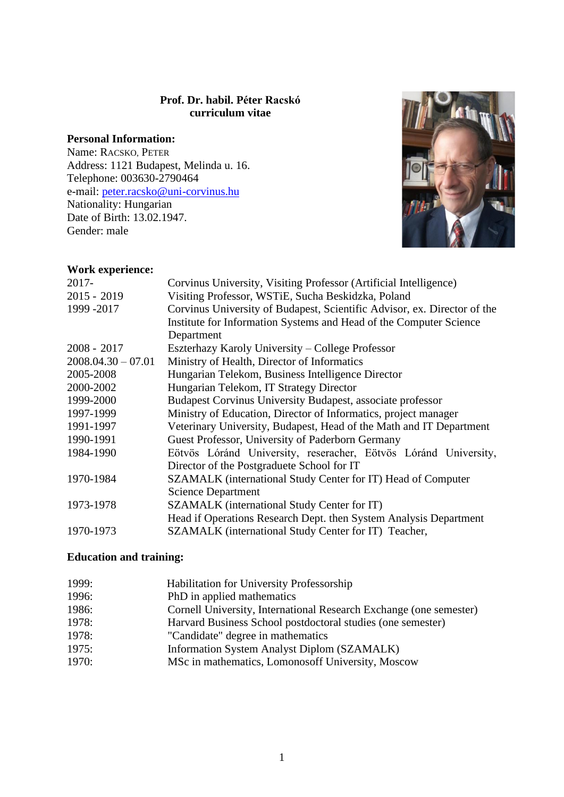## **Prof. Dr. habil. Péter Racskó curriculum vitae**

# **Personal Information:**

Name: RACSKO, PETER Address: 1121 Budapest, Melinda u. 16. Telephone: 003630-2790464 e-mail: [peter.racsko@uni-corvinus.hu](mailto:peter.racsko@uni-corvinus.hu)  Nationality: Hungarian Date of Birth: 13.02.1947. Gender: male



## **Work experience:**

| Corvinus University, Visiting Professor (Artificial Intelligence)        |
|--------------------------------------------------------------------------|
| Visiting Professor, WSTiE, Sucha Beskidzka, Poland                       |
| Corvinus University of Budapest, Scientific Advisor, ex. Director of the |
| Institute for Information Systems and Head of the Computer Science       |
| Department                                                               |
| Eszterhazy Karoly University – College Professor                         |
| Ministry of Health, Director of Informatics                              |
| Hungarian Telekom, Business Intelligence Director                        |
| Hungarian Telekom, IT Strategy Director                                  |
| Budapest Corvinus University Budapest, associate professor               |
| Ministry of Education, Director of Informatics, project manager          |
| Veterinary University, Budapest, Head of the Math and IT Department      |
| Guest Professor, University of Paderborn Germany                         |
| Eötvös Lóránd University, reseracher, Eötvös Lóránd University,          |
| Director of the Postgraduete School for IT                               |
| SZAMALK (international Study Center for IT) Head of Computer             |
| <b>Science Department</b>                                                |
| SZAMALK (international Study Center for IT)                              |
| Head if Operations Research Dept. then System Analysis Department        |
| SZAMALK (international Study Center for IT) Teacher,                     |
|                                                                          |

## **Education and training:**

| 1999: | Habilitation for University Professorship                          |
|-------|--------------------------------------------------------------------|
| 1996: | PhD in applied mathematics                                         |
| 1986: | Cornell University, International Research Exchange (one semester) |
| 1978: | Harvard Business School postdoctoral studies (one semester)        |
| 1978: | "Candidate" degree in mathematics                                  |
| 1975: | Information System Analyst Diplom (SZAMALK)                        |
| 1970: | MSc in mathematics, Lomonosoff University, Moscow                  |